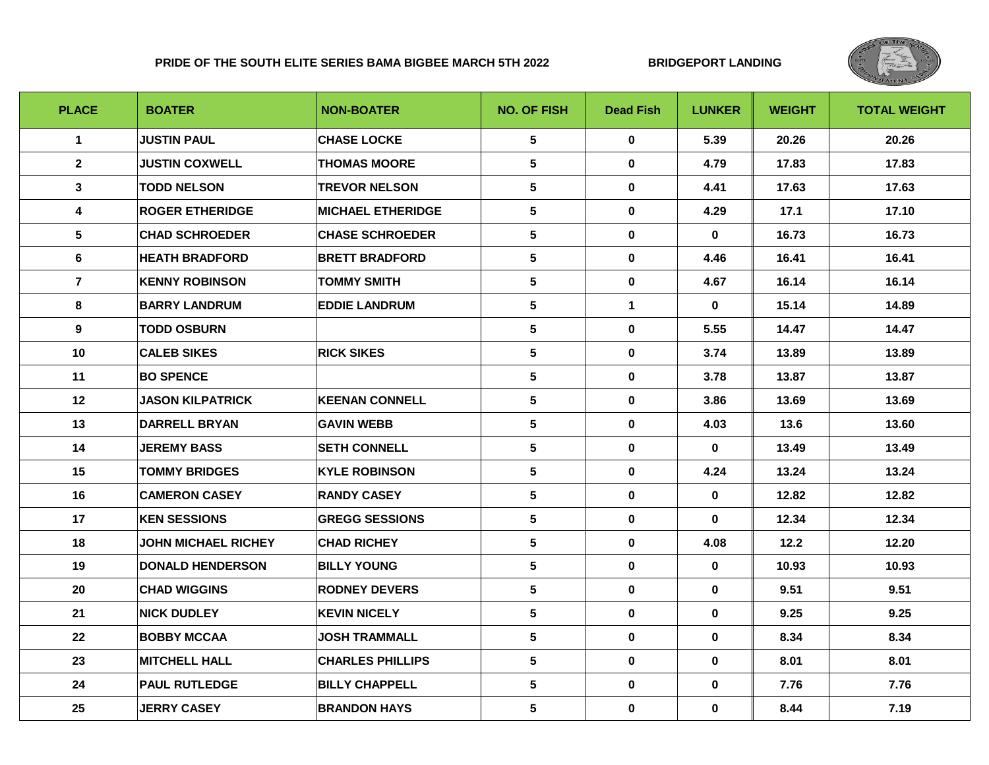## **PRIDE OF THE SOUTH ELITE SERIES BAMA BIGBEE MARCH 5TH 2022 BRIDGEPORT LANDING**



| <b>PLACE</b>    | <b>BOATER</b>              | <b>NON-BOATER</b>        | <b>NO. OF FISH</b> | <b>Dead Fish</b> | <b>LUNKER</b> | <b>WEIGHT</b> | <b>TOTAL WEIGHT</b> |
|-----------------|----------------------------|--------------------------|--------------------|------------------|---------------|---------------|---------------------|
| $\mathbf{1}$    | <b>JUSTIN PAUL</b>         | <b>CHASE LOCKE</b>       | 5                  | $\mathbf 0$      | 5.39          | 20.26         | 20.26               |
| $\overline{2}$  | <b>JUSTIN COXWELL</b>      | <b>THOMAS MOORE</b>      | $5\phantom{.0}$    | $\mathbf 0$      | 4.79          | 17.83         | 17.83               |
| $\mathbf{3}$    | <b>TODD NELSON</b>         | <b>TREVOR NELSON</b>     | 5                  | $\mathbf 0$      | 4.41          | 17.63         | 17.63               |
| 4               | <b>ROGER ETHERIDGE</b>     | <b>MICHAEL ETHERIDGE</b> | $5\phantom{.0}$    | $\mathbf 0$      | 4.29          | 17.1          | 17.10               |
| $5\phantom{.0}$ | <b>CHAD SCHROEDER</b>      | <b>CHASE SCHROEDER</b>   | $5\phantom{.0}$    | 0                | 0             | 16.73         | 16.73               |
| 6               | <b>HEATH BRADFORD</b>      | <b>BRETT BRADFORD</b>    | $5\phantom{.0}$    | $\mathbf 0$      | 4.46          | 16.41         | 16.41               |
| $\overline{7}$  | <b>KENNY ROBINSON</b>      | <b>TOMMY SMITH</b>       | $5\phantom{.0}$    | 0                | 4.67          | 16.14         | 16.14               |
| 8               | <b>BARRY LANDRUM</b>       | <b>EDDIE LANDRUM</b>     | 5                  | $\mathbf{1}$     | $\mathbf{0}$  | 15.14         | 14.89               |
| 9               | <b>TODD OSBURN</b>         |                          | $5\phantom{a}$     | $\mathbf 0$      | 5.55          | 14.47         | 14.47               |
| 10              | <b>CALEB SIKES</b>         | <b>RICK SIKES</b>        | $5\phantom{.0}$    | $\mathbf 0$      | 3.74          | 13.89         | 13.89               |
| 11              | <b>BO SPENCE</b>           |                          | $\sqrt{5}$         | $\mathbf 0$      | 3.78          | 13.87         | 13.87               |
| 12              | <b>JASON KILPATRICK</b>    | <b>KEENAN CONNELL</b>    | 5                  | 0                | 3.86          | 13.69         | 13.69               |
| 13              | <b>DARRELL BRYAN</b>       | <b>GAVIN WEBB</b>        | $5\phantom{.0}$    | $\mathbf 0$      | 4.03          | 13.6          | 13.60               |
| 14              | <b>JEREMY BASS</b>         | <b>SETH CONNELL</b>      | $\sqrt{5}$         | $\mathbf 0$      | $\mathbf 0$   | 13.49         | 13.49               |
| 15              | <b>TOMMY BRIDGES</b>       | <b>KYLE ROBINSON</b>     | $\sqrt{5}$         | $\mathbf 0$      | 4.24          | 13.24         | 13.24               |
| 16              | <b>CAMERON CASEY</b>       | <b>RANDY CASEY</b>       | $5\phantom{.0}$    | $\mathbf 0$      | 0             | 12.82         | 12.82               |
| 17              | <b>KEN SESSIONS</b>        | <b>GREGG SESSIONS</b>    | $\sqrt{5}$         | $\mathbf 0$      | $\mathbf{0}$  | 12.34         | 12.34               |
| 18              | <b>JOHN MICHAEL RICHEY</b> | <b>CHAD RICHEY</b>       | 5                  | 0                | 4.08          | 12.2          | 12.20               |
| 19              | <b>DONALD HENDERSON</b>    | <b>BILLY YOUNG</b>       | $5\phantom{.0}$    | 0                | $\mathbf 0$   | 10.93         | 10.93               |
| 20              | <b>CHAD WIGGINS</b>        | <b>RODNEY DEVERS</b>     | $5\phantom{.0}$    | $\mathbf 0$      | 0             | 9.51          | 9.51                |
| 21              | <b>NICK DUDLEY</b>         | <b>KEVIN NICELY</b>      | $5\phantom{.0}$    | $\mathbf 0$      | $\mathbf 0$   | 9.25          | 9.25                |
| 22              | <b>BOBBY MCCAA</b>         | <b>JOSH TRAMMALL</b>     | $5\phantom{.0}$    | 0                | 0             | 8.34          | 8.34                |
| 23              | <b>MITCHELL HALL</b>       | <b>CHARLES PHILLIPS</b>  | $5\phantom{.0}$    | $\mathbf 0$      | $\mathbf 0$   | 8.01          | 8.01                |
| 24              | <b>PAUL RUTLEDGE</b>       | <b>BILLY CHAPPELL</b>    | $\sqrt{5}$         | $\mathbf 0$      | 0             | 7.76          | 7.76                |
| 25              | <b>JERRY CASEY</b>         | <b>BRANDON HAYS</b>      | 5                  | 0                | $\mathbf 0$   | 8.44          | 7.19                |